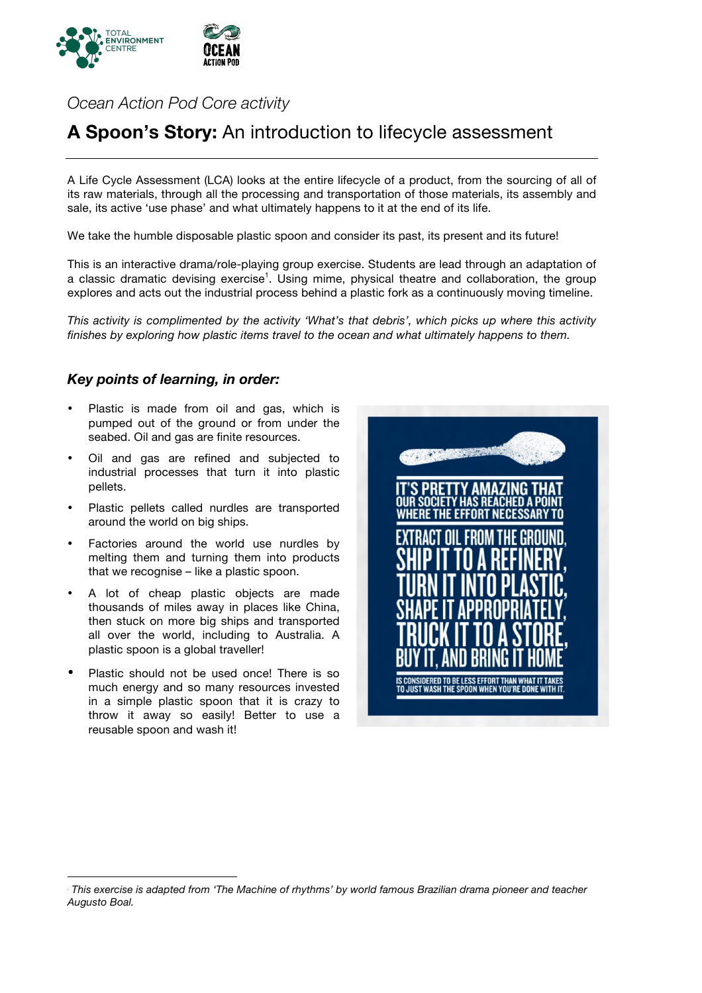

*Ocean Action Pod Core activity*

# **A Spoon's Story:** An introduction to lifecycle assessment

A Life Cycle Assessment (LCA) looks at the entire lifecycle of a product, from the sourcing of all of its raw materials, through all the processing and transportation of those materials, its assembly and sale, its active 'use phase' and what ultimately happens to it at the end of its life.

We take the humble disposable plastic spoon and consider its past, its present and its future!

This is an interactive drama/role-playing group exercise. Students are lead through an adaptation of a classic dramatic devising exercise<sup>1</sup>. Using mime, physical theatre and collaboration, the group explores and acts out the industrial process behind a plastic fork as a continuously moving timeline.

*This activity is complimented by the activity 'What's that debris', which picks up where this activity finishes by exploring how plastic items travel to the ocean and what ultimately happens to them.*

#### *Key points of learning, in order:*

- Plastic is made from oil and gas, which is pumped out of the ground or from under the seabed. Oil and gas are finite resources.
- Oil and gas are refined and subjected to industrial processes that turn it into plastic pellets.
- Plastic pellets called nurdles are transported around the world on big ships.
- Factories around the world use nurdles by melting them and turning them into products that we recognise – like a plastic spoon.
- A lot of cheap plastic objects are made thousands of miles away in places like China, then stuck on more big ships and transported all over the world, including to Australia. A plastic spoon is a global traveller!
- Plastic should not be used once! There is so much energy and so many resources invested in a simple plastic spoon that it is crazy to throw it away so easily! Better to use a reusable spoon and wash it!



*This exercise is adapted from 'The Machine of rhythms' by world famous Brazilian drama pioneer and teacher Augusto Boal.*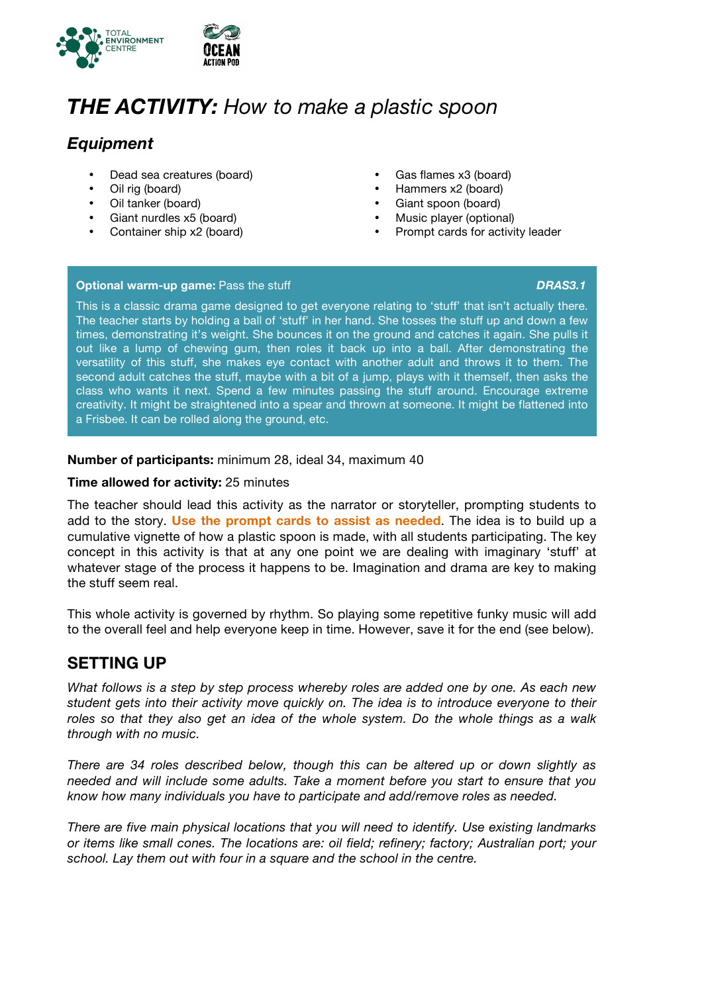

# *THE ACTIVITY: How to make a plastic spoon*

### *Equipment*

- Dead sea creatures (board)
- Oil rig (board)
- Oil tanker (board)
- Giant nurdles x5 (board)
- Container ship x2 (board)
- Gas flames x3 (board)
- Hammers x2 (board)
- Giant spoon (board)
- Music player (optional)
- Prompt cards for activity leader

#### **Optional warm-up game:** Pass the stuff *DRAS3.1*

This is a classic drama game designed to get everyone relating to 'stuff' that isn't actually there. The teacher starts by holding a ball of 'stuff' in her hand. She tosses the stuff up and down a few times, demonstrating it's weight. She bounces it on the ground and catches it again. She pulls it out like a lump of chewing gum, then roles it back up into a ball. After demonstrating the versatility of this stuff, she makes eye contact with another adult and throws it to them. The second adult catches the stuff, maybe with a bit of a jump, plays with it themself, then asks the class who wants it next. Spend a few minutes passing the stuff around. Encourage extreme creativity. It might be straightened into a spear and thrown at someone. It might be flattened into a Frisbee. It can be rolled along the ground, etc.

#### **Number of participants:** minimum 28, ideal 34, maximum 40

#### **Time allowed for activity:** 25 minutes

The teacher should lead this activity as the narrator or storyteller, prompting students to add to the story. **Use the prompt cards to assist as needed**. The idea is to build up a cumulative vignette of how a plastic spoon is made, with all students participating. The key concept in this activity is that at any one point we are dealing with imaginary 'stuff' at whatever stage of the process it happens to be. Imagination and drama are key to making the stuff seem real.

This whole activity is governed by rhythm. So playing some repetitive funky music will add to the overall feel and help everyone keep in time. However, save it for the end (see below).

### **SETTING UP**

*What follows is a step by step process whereby roles are added one by one. As each new student gets into their activity move quickly on. The idea is to introduce everyone to their roles so that they also get an idea of the whole system. Do the whole things as a walk through with no music.* 

*There are 34 roles described below, though this can be altered up or down slightly as needed and will include some adults. Take a moment before you start to ensure that you know how many individuals you have to participate and add/remove roles as needed.*

*There are five main physical locations that you will need to identify. Use existing landmarks or items like small cones. The locations are: oil field; refinery; factory; Australian port; your school. Lay them out with four in a square and the school in the centre.*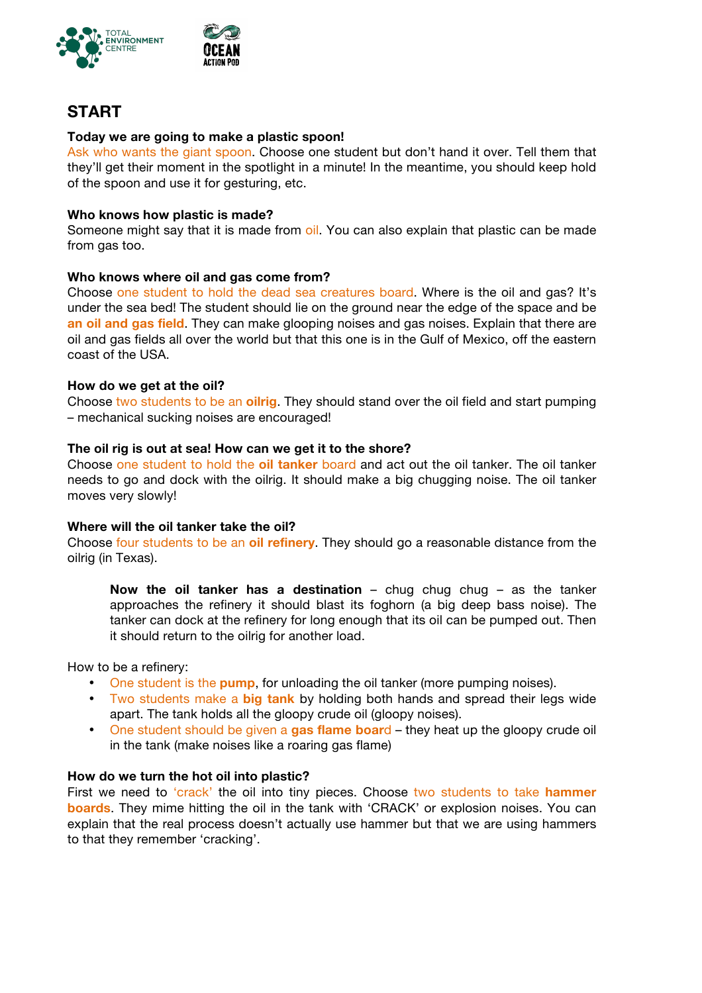

## **START**

#### **Today we are going to make a plastic spoon!**

Ask who wants the giant spoon. Choose one student but don't hand it over. Tell them that they'll get their moment in the spotlight in a minute! In the meantime, you should keep hold of the spoon and use it for gesturing, etc.

#### **Who knows how plastic is made?**

Someone might say that it is made from oil. You can also explain that plastic can be made from gas too.

#### **Who knows where oil and gas come from?**

Choose one student to hold the dead sea creatures board. Where is the oil and gas? It's under the sea bed! The student should lie on the ground near the edge of the space and be **an oil and gas field**. They can make glooping noises and gas noises. Explain that there are oil and gas fields all over the world but that this one is in the Gulf of Mexico, off the eastern coast of the USA.

#### **How do we get at the oil?**

Choose two students to be an **oilrig**. They should stand over the oil field and start pumping – mechanical sucking noises are encouraged!

#### **The oil rig is out at sea! How can we get it to the shore?**

Choose one student to hold the **oil tanker** board and act out the oil tanker. The oil tanker needs to go and dock with the oilrig. It should make a big chugging noise. The oil tanker moves very slowly!

#### **Where will the oil tanker take the oil?**

Choose four students to be an **oil refinery**. They should go a reasonable distance from the oilrig (in Texas).

**Now the oil tanker has a destination** – chug chug chug – as the tanker approaches the refinery it should blast its foghorn (a big deep bass noise). The tanker can dock at the refinery for long enough that its oil can be pumped out. Then it should return to the oilrig for another load.

How to be a refinery:

- One student is the **pump**, for unloading the oil tanker (more pumping noises).
- Two students make a **big tank** by holding both hands and spread their legs wide apart. The tank holds all the gloopy crude oil (gloopy noises).
- One student should be given a **gas flame boar**d they heat up the gloopy crude oil in the tank (make noises like a roaring gas flame)

#### **How do we turn the hot oil into plastic?**

First we need to 'crack' the oil into tiny pieces. Choose two students to take **hammer boards**. They mime hitting the oil in the tank with 'CRACK' or explosion noises. You can explain that the real process doesn't actually use hammer but that we are using hammers to that they remember 'cracking'.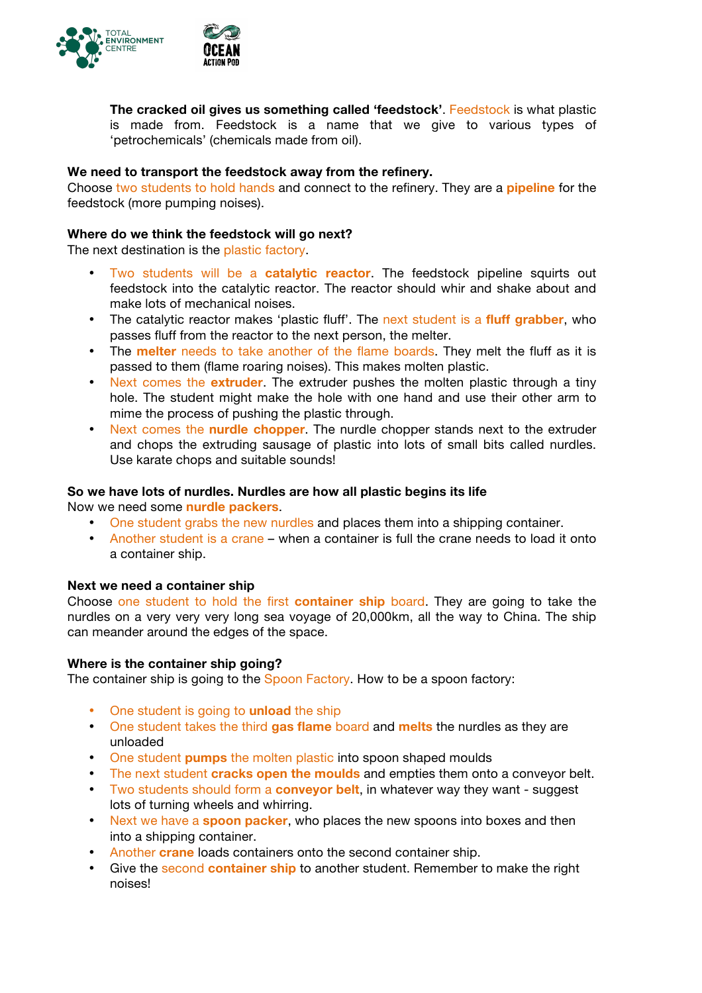

**The cracked oil gives us something called 'feedstock'**. Feedstock is what plastic is made from. Feedstock is a name that we give to various types of 'petrochemicals' (chemicals made from oil).

#### **We need to transport the feedstock away from the refinery.**

Choose two students to hold hands and connect to the refinery. They are a **pipeline** for the feedstock (more pumping noises).

#### **Where do we think the feedstock will go next?**

The next destination is the plastic factory.

- Two students will be a **catalytic reactor**. The feedstock pipeline squirts out feedstock into the catalytic reactor. The reactor should whir and shake about and make lots of mechanical noises.
- The catalytic reactor makes 'plastic fluff'. The next student is a **fluff grabber**, who passes fluff from the reactor to the next person, the melter.
- The **melter** needs to take another of the flame boards. They melt the fluff as it is passed to them (flame roaring noises). This makes molten plastic.
- Next comes the **extruder**. The extruder pushes the molten plastic through a tiny hole. The student might make the hole with one hand and use their other arm to mime the process of pushing the plastic through.
- Next comes the **nurdle chopper**. The nurdle chopper stands next to the extruder and chops the extruding sausage of plastic into lots of small bits called nurdles. Use karate chops and suitable sounds!

#### **So we have lots of nurdles. Nurdles are how all plastic begins its life**

Now we need some **nurdle packers**.

- One student grabs the new nurdles and places them into a shipping container.
- Another student is a crane when a container is full the crane needs to load it onto a container ship.

#### **Next we need a container ship**

Choose one student to hold the first **container ship** board. They are going to take the nurdles on a very very very long sea voyage of 20,000km, all the way to China. The ship can meander around the edges of the space.

#### **Where is the container ship going?**

The container ship is going to the Spoon Factory. How to be a spoon factory:

- One student is going to **unload** the ship
- One student takes the third **gas flame** board and **melts** the nurdles as they are unloaded
- One student **pumps** the molten plastic into spoon shaped moulds
- The next student **cracks open the moulds** and empties them onto a conveyor belt.
- Two students should form a **conveyor belt**, in whatever way they want suggest lots of turning wheels and whirring.
- Next we have a **spoon packer**, who places the new spoons into boxes and then into a shipping container.
- Another **crane** loads containers onto the second container ship.
- Give the second **container ship** to another student. Remember to make the right noises!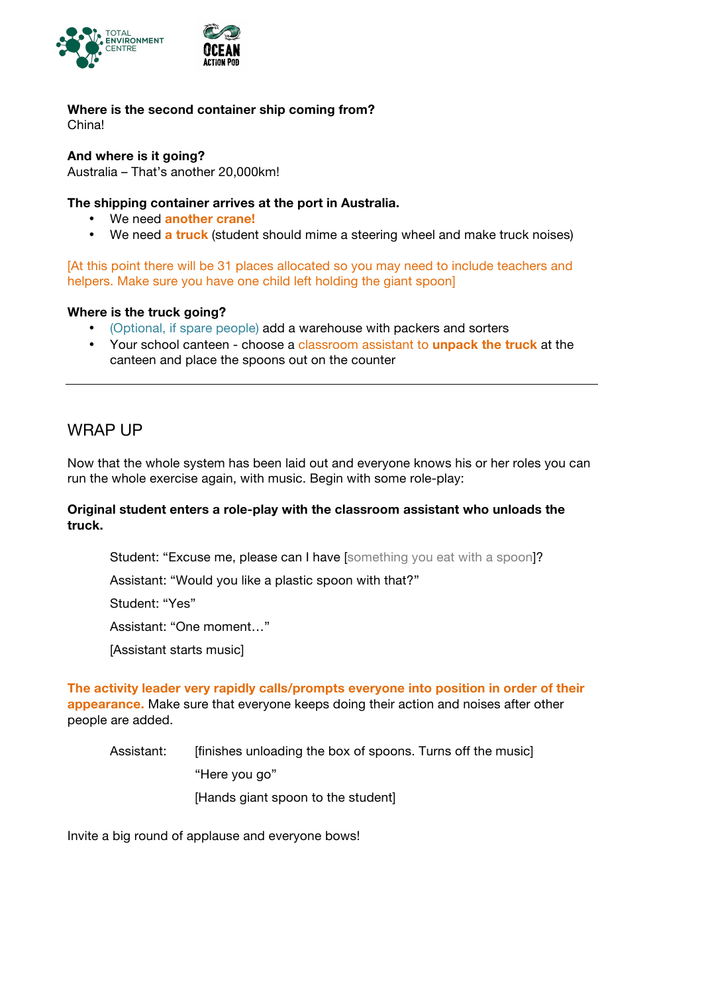

# **Where is the second container ship coming from?**

China!

**And where is it going?**

Australia – That's another 20,000km!

### **The shipping container arrives at the port in Australia.**

- We need **another crane!**
- We need **a truck** (student should mime a steering wheel and make truck noises)

[At this point there will be 31 places allocated so you may need to include teachers and helpers. Make sure you have one child left holding the giant spoonl

#### **Where is the truck going?**

- (Optional, if spare people) add a warehouse with packers and sorters
- Your school canteen choose a classroom assistant to **unpack the truck** at the canteen and place the spoons out on the counter

### WRAP UP

Now that the whole system has been laid out and everyone knows his or her roles you can run the whole exercise again, with music. Begin with some role-play:

#### **Original student enters a role-play with the classroom assistant who unloads the truck.**

Student: "Excuse me, please can I have [something you eat with a spoon]?

Assistant: "Would you like a plastic spoon with that?"

Student: "Yes"

Assistant: "One moment…"

[Assistant starts music]

**The activity leader very rapidly calls/prompts everyone into position in order of their appearance.** Make sure that everyone keeps doing their action and noises after other people are added.

Assistant: [finishes unloading the box of spoons. Turns off the music] "Here you go" [Hands giant spoon to the student]

Invite a big round of applause and everyone bows!